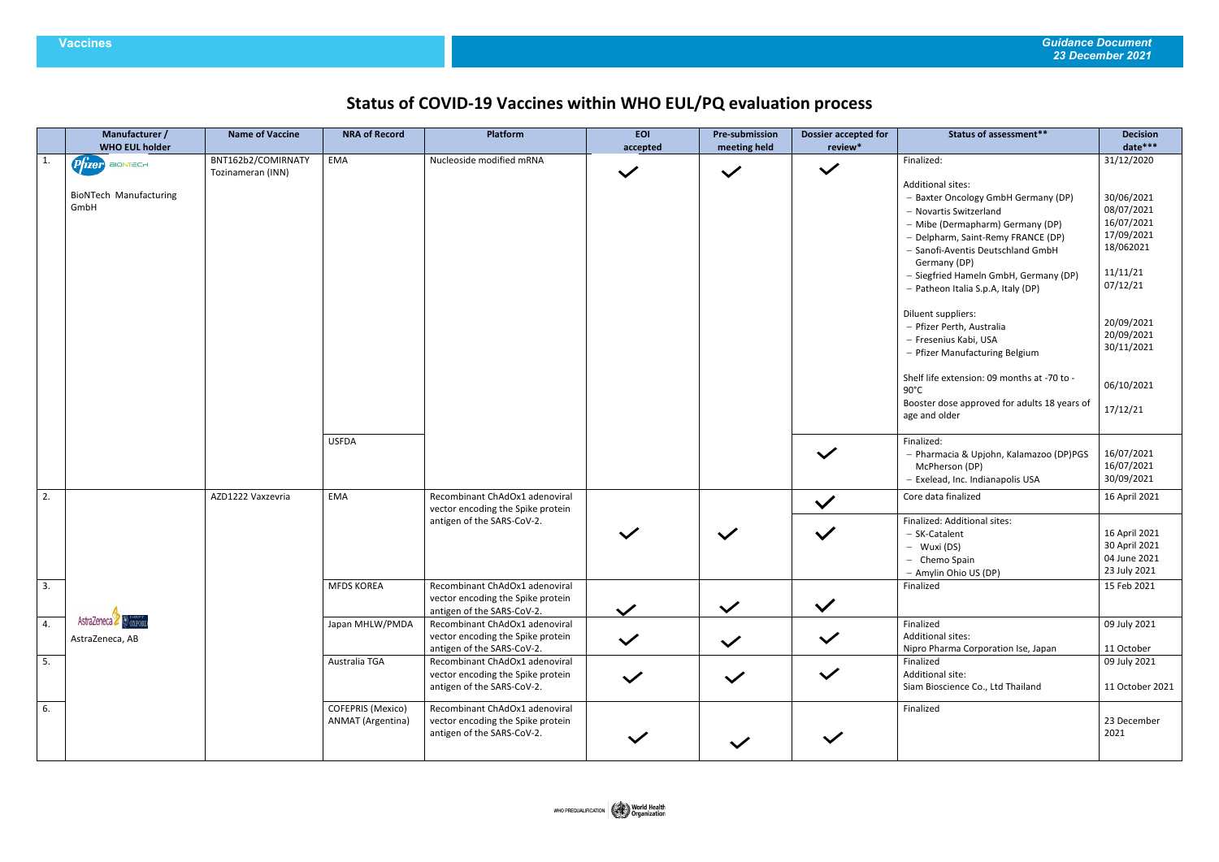## **Vaccines** *Guidance Document 23 December 2021*

## **Status of COVID-19 Vaccines within WHO EUL/PQ evaluation process**

|    | Manufacturer /<br><b>WHO EUL holder</b> | <b>Name of Vaccine</b>                  | <b>NRA of Record</b>                          | Platform                                                                                          | <b>EOI</b><br>accepted | <b>Pre-submission</b><br><b>Dossier accepted for</b><br>meeting held<br>review* |              | <b>Status of assessment**</b>                                                                                                                                                                                                                                                                    | <b>Decision</b><br>date***                                                                |
|----|-----------------------------------------|-----------------------------------------|-----------------------------------------------|---------------------------------------------------------------------------------------------------|------------------------|---------------------------------------------------------------------------------|--------------|--------------------------------------------------------------------------------------------------------------------------------------------------------------------------------------------------------------------------------------------------------------------------------------------------|-------------------------------------------------------------------------------------------|
| 1. | Prizer BIONTECH                         | BNT162b2/COMIRNATY<br>Tozinameran (INN) | EMA                                           | Nucleoside modified mRNA                                                                          | $\checkmark$           | $\checkmark$                                                                    | $\checkmark$ | Finalized:                                                                                                                                                                                                                                                                                       | 31/12/2020                                                                                |
|    | <b>BioNTech Manufacturing</b><br>GmbH   |                                         |                                               |                                                                                                   |                        |                                                                                 |              | Additional sites:<br>- Baxter Oncology GmbH Germany (DP)<br>- Novartis Switzerland<br>- Mibe (Dermapharm) Germany (DP)<br>- Delpharm, Saint-Remy FRANCE (DP)<br>- Sanofi-Aventis Deutschland GmbH<br>Germany (DP)<br>- Siegfried Hameln GmbH, Germany (DP)<br>- Patheon Italia S.p.A, Italy (DP) | 30/06/2021<br>08/07/2021<br>16/07/2021<br>17/09/2021<br>18/062021<br>11/11/21<br>07/12/21 |
|    |                                         |                                         |                                               |                                                                                                   |                        |                                                                                 |              | Diluent suppliers:<br>- Pfizer Perth, Australia<br>- Fresenius Kabi, USA<br>- Pfizer Manufacturing Belgium<br>Shelf life extension: 09 months at -70 to -<br>$90^{\circ}$ C<br>Booster dose approved for adults 18 years of<br>age and older                                                     | 20/09/2021<br>20/09/2021<br>30/11/2021<br>06/10/2021<br>17/12/21                          |
|    |                                         |                                         | <b>USFDA</b>                                  |                                                                                                   |                        |                                                                                 | $\checkmark$ | Finalized:<br>- Pharmacia & Upjohn, Kalamazoo (DP)PGS<br>McPherson (DP)<br>- Exelead, Inc. Indianapolis USA                                                                                                                                                                                      | 16/07/2021<br>16/07/2021<br>30/09/2021                                                    |
| 2. | AstraZeneca & OXFORD<br>AstraZeneca, AB | AZD1222 Vaxzevria<br>EMA                |                                               | Recombinant ChAdOx1 adenoviral<br>vector encoding the Spike protein                               |                        |                                                                                 | $\checkmark$ | Core data finalized                                                                                                                                                                                                                                                                              | 16 April 2021                                                                             |
|    |                                         |                                         |                                               | antigen of the SARS-CoV-2.                                                                        |                        | $\checkmark$                                                                    | $\checkmark$ | Finalized: Additional sites:<br>- SK-Catalent<br>- Wuxi (DS)<br>- Chemo Spain<br>- Amylin Ohio US (DP)                                                                                                                                                                                           | 16 April 2021<br>30 April 2021<br>04 June 2021<br>23 July 2021                            |
| 3. |                                         |                                         | <b>MFDS KOREA</b>                             | Recombinant ChAdOx1 adenoviral<br>vector encoding the Spike protein<br>antigen of the SARS-CoV-2. | $\checkmark$           | $\checkmark$                                                                    | $\checkmark$ | Finalized                                                                                                                                                                                                                                                                                        | 15 Feb 2021                                                                               |
| 4. |                                         |                                         | Japan MHLW/PMDA                               | Recombinant ChAdOx1 adenoviral<br>vector encoding the Spike protein<br>antigen of the SARS-CoV-2. | $\checkmark$           | $\checkmark$                                                                    | $\checkmark$ | Finalized<br><b>Additional sites:</b><br>Nipro Pharma Corporation Ise, Japan                                                                                                                                                                                                                     | 09 July 2021<br>11 October                                                                |
| 5. |                                         |                                         | Australia TGA                                 | Recombinant ChAdOx1 adenoviral<br>vector encoding the Spike protein<br>antigen of the SARS-CoV-2. | $\checkmark$           | $\checkmark$                                                                    | $\checkmark$ | Finalized<br>Additional site:<br>Siam Bioscience Co., Ltd Thailand                                                                                                                                                                                                                               | 09 July 2021<br>11 October 2021                                                           |
| 6. |                                         |                                         | COFEPRIS (Mexico)<br><b>ANMAT</b> (Argentina) | Recombinant ChAdOx1 adenoviral<br>vector encoding the Spike protein<br>antigen of the SARS-CoV-2. | $\checkmark$           | $\checkmark$                                                                    | $\checkmark$ | Finalized                                                                                                                                                                                                                                                                                        | 23 December<br>2021                                                                       |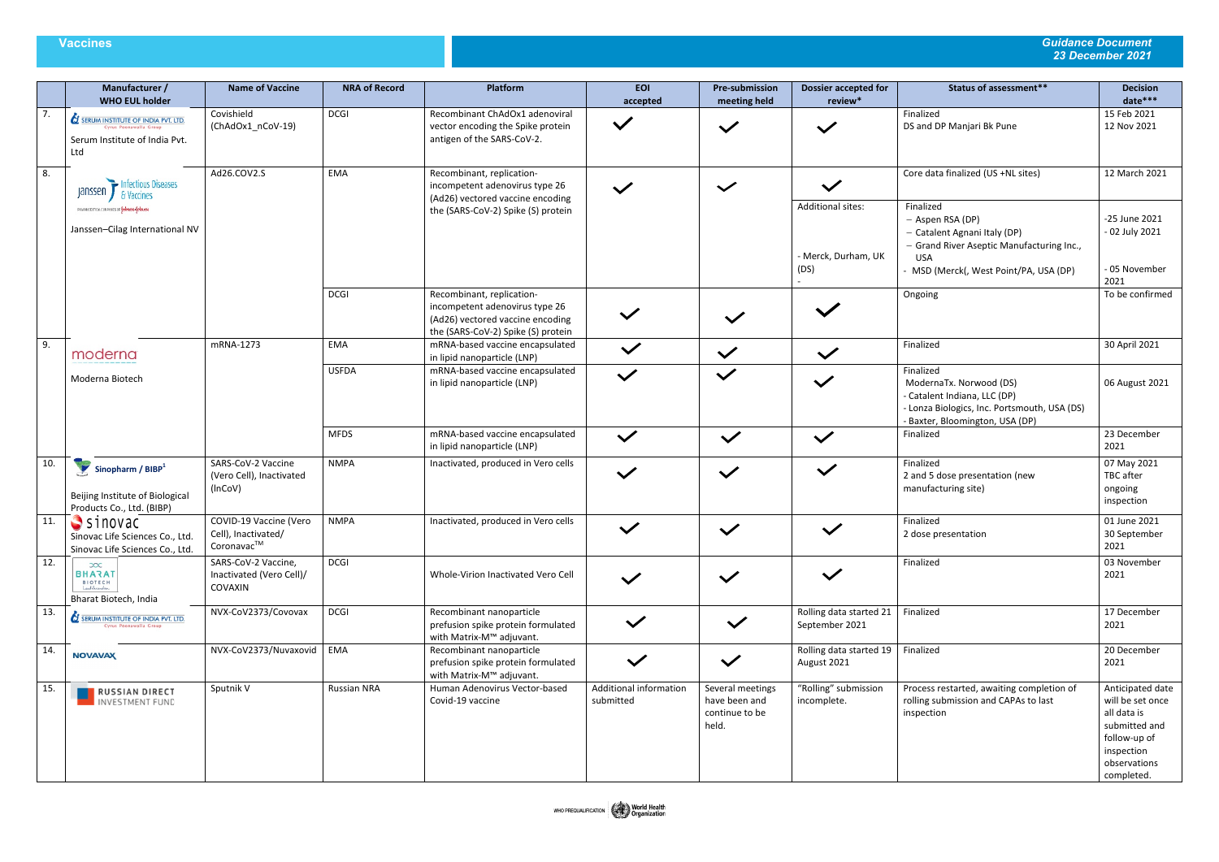## **Vaccines** *Guidance Document 23 December 2021*

|     | Manufacturer /<br><b>WHO EUL holder</b>                                                                     | <b>Name of Vaccine</b>                                      | <b>NRA of Record</b> | Platform                                                                                                                              | <b>EOI</b><br>accepted              | <b>Pre-submission</b><br>meeting held                        | <b>Dossier accepted for</b><br>review*             | <b>Status of assessment**</b>                                                                                                                                      | <b>Decision</b><br>date***                                                                                                       |
|-----|-------------------------------------------------------------------------------------------------------------|-------------------------------------------------------------|----------------------|---------------------------------------------------------------------------------------------------------------------------------------|-------------------------------------|--------------------------------------------------------------|----------------------------------------------------|--------------------------------------------------------------------------------------------------------------------------------------------------------------------|----------------------------------------------------------------------------------------------------------------------------------|
| 7.  | <b>SERUM INSTITUTE OF INDIA PVT. LTD.</b><br>Cyrus Poonawalla Group<br>Serum Institute of India Pvt.<br>Ltd | Covishield<br>(ChAdOx1_nCoV-19)                             | <b>DCGI</b>          | Recombinant ChAdOx1 adenoviral<br>vector encoding the Spike protein<br>antigen of the SARS-CoV-2.                                     | $\checkmark$                        | $\checkmark$                                                 | $\checkmark$                                       | Finalized<br>DS and DP Manjari Bk Pune                                                                                                                             | 15 Feb 2021<br>12 Nov 2021                                                                                                       |
| 8.  | Infectious Diseases<br>Janssen / & Vaccines                                                                 | Ad26.COV2.S                                                 | EMA                  | Recombinant, replication-<br>incompetent adenovirus type 26<br>(Ad26) vectored vaccine encoding                                       | $\checkmark$                        | $\checkmark$                                                 | $\checkmark$                                       | Core data finalized (US +NL sites)                                                                                                                                 | 12 March 2021                                                                                                                    |
|     | PHARMACEUTICAL CONPANIES OF Vehision-Vehicles<br>Janssen-Cilag International NV                             |                                                             |                      | the (SARS-CoV-2) Spike (S) protein                                                                                                    |                                     |                                                              | Additional sites:<br>- Merck, Durham, UK<br>(DS)   | Finalized<br>- Aspen RSA (DP)<br>- Catalent Agnani Italy (DP)<br>- Grand River Aseptic Manufacturing Inc.,<br><b>USA</b><br>- MSD (Merck(, West Point/PA, USA (DP) | -25 June 2021<br>- 02 July 2021<br>- 05 November<br>2021                                                                         |
|     |                                                                                                             |                                                             | <b>DCGI</b>          | Recombinant, replication-<br>incompetent adenovirus type 26<br>(Ad26) vectored vaccine encoding<br>the (SARS-CoV-2) Spike (S) protein | $\checkmark$                        | $\checkmark$                                                 |                                                    | Ongoing                                                                                                                                                            | To be confirmed                                                                                                                  |
| 9.  | moderna                                                                                                     | mRNA-1273                                                   | EMA                  | mRNA-based vaccine encapsulated<br>in lipid nanoparticle (LNP)                                                                        | $\checkmark$                        | $\checkmark$                                                 | $\checkmark$                                       | Finalized                                                                                                                                                          | 30 April 2021                                                                                                                    |
|     | Moderna Biotech                                                                                             |                                                             | <b>USFDA</b>         | mRNA-based vaccine encapsulated<br>in lipid nanoparticle (LNP)                                                                        | $\checkmark$                        | $\checkmark$                                                 | $\checkmark$                                       | Finalized<br>ModernaTx. Norwood (DS)<br>- Catalent Indiana, LLC (DP)<br>- Lonza Biologics, Inc. Portsmouth, USA (DS)<br>- Baxter, Bloomington, USA (DP)            | 06 August 2021                                                                                                                   |
|     |                                                                                                             |                                                             | <b>MFDS</b>          | mRNA-based vaccine encapsulated<br>in lipid nanoparticle (LNP)                                                                        | $\checkmark$                        | $\checkmark$                                                 | $\checkmark$                                       | Finalized                                                                                                                                                          | 23 December<br>2021                                                                                                              |
| 10. | Sinopharm / $BIBP1$<br>Beijing Institute of Biological<br>Products Co., Ltd. (BIBP)                         | SARS-CoV-2 Vaccine<br>(Vero Cell), Inactivated<br>(InCoV)   | <b>NMPA</b>          | Inactivated, produced in Vero cells                                                                                                   | $\checkmark$                        | $\checkmark$                                                 | $\checkmark$                                       | Finalized<br>2 and 5 dose presentation (new<br>manufacturing site)                                                                                                 | 07 May 2021<br>TBC after<br>ongoing<br>inspection                                                                                |
| 11. | Sinovac<br>Sinovac Life Sciences Co., Ltd.<br>Sinovac Life Sciences Co., Ltd.                               | COVID-19 Vaccine (Vero<br>Cell), Inactivated/<br>Coronavac™ | <b>NMPA</b>          | Inactivated, produced in Vero cells                                                                                                   | $\checkmark$                        | $\checkmark$                                                 | $\checkmark$                                       | Finalized<br>2 dose presentation                                                                                                                                   | 01 June 2021<br>30 September<br>2021                                                                                             |
| 12. | $\infty$<br><b>BHARAT</b><br>BIOTECH<br>Bharat Biotech, India                                               | SARS-CoV-2 Vaccine,<br>Inactivated (Vero Cell)/<br>COVAXIN  | <b>DCGI</b>          | Whole-Virion Inactivated Vero Cell                                                                                                    | $\checkmark$                        | $\checkmark$                                                 | $\checkmark$                                       | Finalized                                                                                                                                                          | 03 November<br>2021                                                                                                              |
| 13. | SERUM INSTITUTE OF INDIA PVT. LTD.<br>Cyrus Poonawalla Group                                                | NVX-CoV2373/Covovax                                         | <b>DCGI</b>          | Recombinant nanoparticle<br>prefusion spike protein formulated<br>with Matrix-M™ adjuvant.                                            | $\checkmark$                        | $\checkmark$                                                 | Rolling data started 21<br>September 2021          | Finalized                                                                                                                                                          | 17 December<br>2021                                                                                                              |
| 14. | <b>NOVAVAX</b>                                                                                              | NVX-CoV2373/Nuvaxovid                                       | EMA                  | Recombinant nanoparticle<br>prefusion spike protein formulated<br>with Matrix-M™ adjuvant.                                            | $\checkmark$                        | $\checkmark$                                                 | Rolling data started 19   Finalized<br>August 2021 |                                                                                                                                                                    | 20 December<br>2021                                                                                                              |
| 15. | RUSSIAN DIRECT<br>INVESTMENT FUND                                                                           | Sputnik V                                                   | Russian NRA          | Human Adenovirus Vector-based<br>Covid-19 vaccine                                                                                     | Additional information<br>submitted | Several meetings<br>have been and<br>continue to be<br>held. | "Rolling" submission<br>incomplete.                | Process restarted, awaiting completion of<br>rolling submission and CAPAs to last<br>inspection                                                                    | Anticipated date<br>will be set once<br>all data is<br>submitted and<br>follow-up of<br>inspection<br>observations<br>completed. |